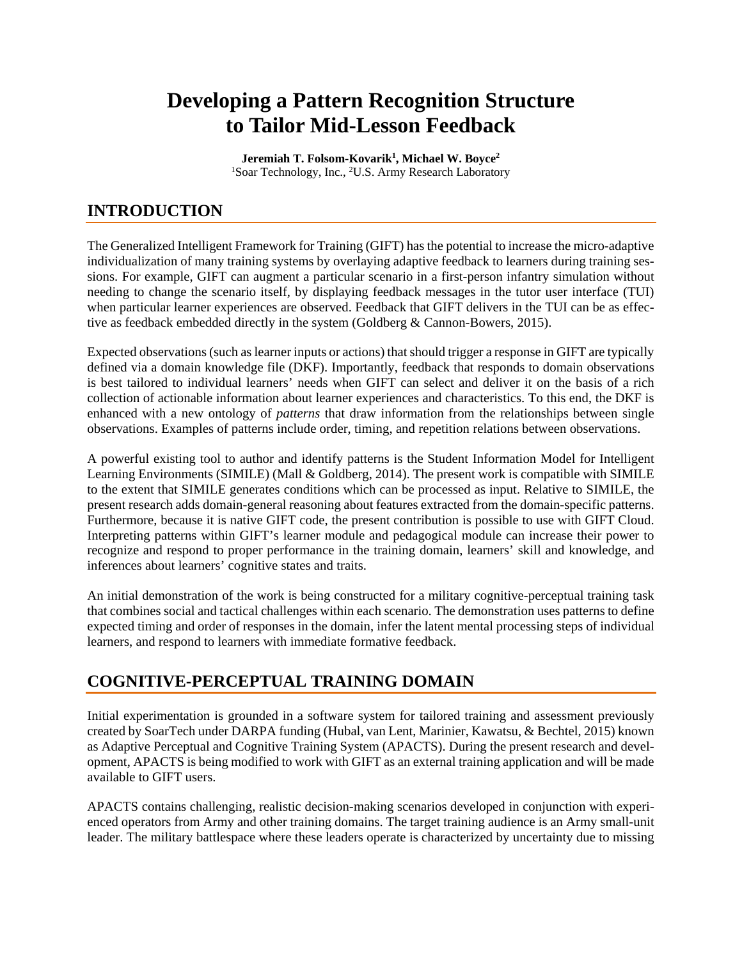# **Developing a Pattern Recognition Structure to Tailor Mid-Lesson Feedback**

**Jeremiah T. Folsom-Kovarik1 , Michael W. Boyce2** <sup>1</sup>Soar Technology, Inc., <sup>2</sup>U.S. Army Research Laboratory

# **INTRODUCTION**

The Generalized Intelligent Framework for Training (GIFT) has the potential to increase the micro-adaptive individualization of many training systems by overlaying adaptive feedback to learners during training sessions. For example, GIFT can augment a particular scenario in a first-person infantry simulation without needing to change the scenario itself, by displaying feedback messages in the tutor user interface (TUI) when particular learner experiences are observed. Feedback that GIFT delivers in the TUI can be as effective as feedback embedded directly in the system [\(Goldberg & Cannon-Bowers, 2015\)](#page-9-0).

Expected observations (such as learner inputs or actions) that should trigger a response in GIFT are typically defined via a domain knowledge file (DKF). Importantly, feedback that responds to domain observations is best tailored to individual learners' needs when GIFT can select and deliver it on the basis of a rich collection of actionable information about learner experiences and characteristics. To this end, the DKF is enhanced with a new ontology of *patterns* that draw information from the relationships between single observations. Examples of patterns include order, timing, and repetition relations between observations.

A powerful existing tool to author and identify patterns is the Student Information Model for Intelligent Learning Environments (SIMILE) [\(Mall & Goldberg, 2014\)](#page-9-1). The present work is compatible with SIMILE to the extent that SIMILE generates conditions which can be processed as input. Relative to SIMILE, the present research adds domain-general reasoning about features extracted from the domain-specific patterns. Furthermore, because it is native GIFT code, the present contribution is possible to use with GIFT Cloud. Interpreting patterns within GIFT's learner module and pedagogical module can increase their power to recognize and respond to proper performance in the training domain, learners' skill and knowledge, and inferences about learners' cognitive states and traits.

An initial demonstration of the work is being constructed for a military cognitive-perceptual training task that combines social and tactical challenges within each scenario. The demonstration uses patterns to define expected timing and order of responses in the domain, infer the latent mental processing steps of individual learners, and respond to learners with immediate formative feedback.

# **COGNITIVE-PERCEPTUAL TRAINING DOMAIN**

Initial experimentation is grounded in a software system for tailored training and assessment previously created by SoarTech under DARPA funding [\(Hubal, van Lent, Marinier, Kawatsu, & Bechtel, 2015\)](#page-9-2) known as Adaptive Perceptual and Cognitive Training System (APACTS). During the present research and development, APACTS is being modified to work with GIFT as an external training application and will be made available to GIFT users.

APACTS contains challenging, realistic decision-making scenarios developed in conjunction with experienced operators from Army and other training domains. The target training audience is an Army small-unit leader. The military battlespace where these leaders operate is characterized by uncertainty due to missing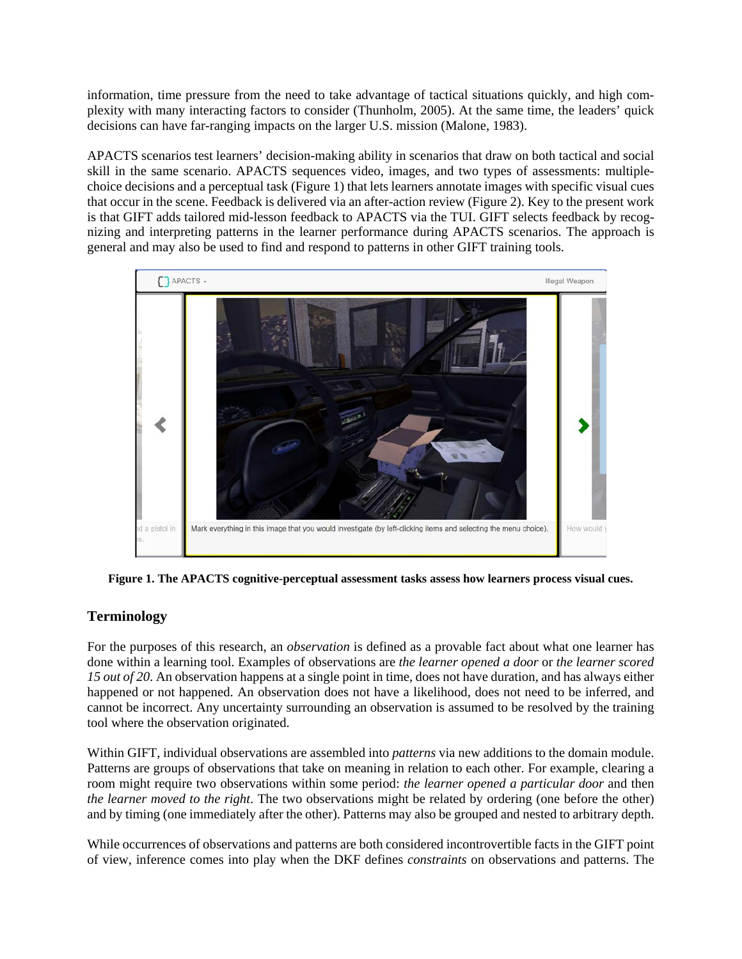information, time pressure from the need to take advantage of tactical situations quickly, and high complexity with many interacting factors to consider [\(Thunholm, 2005\)](#page-9-3). At the same time, the leaders' quick decisions can have far-ranging impacts on the larger U.S. mission [\(Malone, 1983\)](#page-9-4).

APACTS scenarios test learners' decision-making ability in scenarios that draw on both tactical and social skill in the same scenario. APACTS sequences video, images, and two types of assessments: multiplechoice decisions and a perceptual task (Figure 1) that lets learners annotate images with specific visual cues that occur in the scene. Feedback is delivered via an after-action review (Figure 2). Key to the present work is that GIFT adds tailored mid-lesson feedback to APACTS via the TUI. GIFT selects feedback by recognizing and interpreting patterns in the learner performance during APACTS scenarios. The approach is general and may also be used to find and respond to patterns in other GIFT training tools.



**Figure 1. The APACTS cognitive-perceptual assessment tasks assess how learners process visual cues.**

#### **Terminology**

For the purposes of this research, an *observation* is defined as a provable fact about what one learner has done within a learning tool. Examples of observations are *the learner opened a door* or *the learner scored 15 out of 20*. An observation happens at a single point in time, does not have duration, and has always either happened or not happened. An observation does not have a likelihood, does not need to be inferred, and cannot be incorrect. Any uncertainty surrounding an observation is assumed to be resolved by the training tool where the observation originated.

Within GIFT, individual observations are assembled into *patterns* via new additions to the domain module. Patterns are groups of observations that take on meaning in relation to each other. For example, clearing a room might require two observations within some period: *the learner opened a particular door* and then *the learner moved to the right*. The two observations might be related by ordering (one before the other) and by timing (one immediately after the other). Patterns may also be grouped and nested to arbitrary depth.

While occurrences of observations and patterns are both considered incontrovertible facts in the GIFT point of view, inference comes into play when the DKF defines *constraints* on observations and patterns. The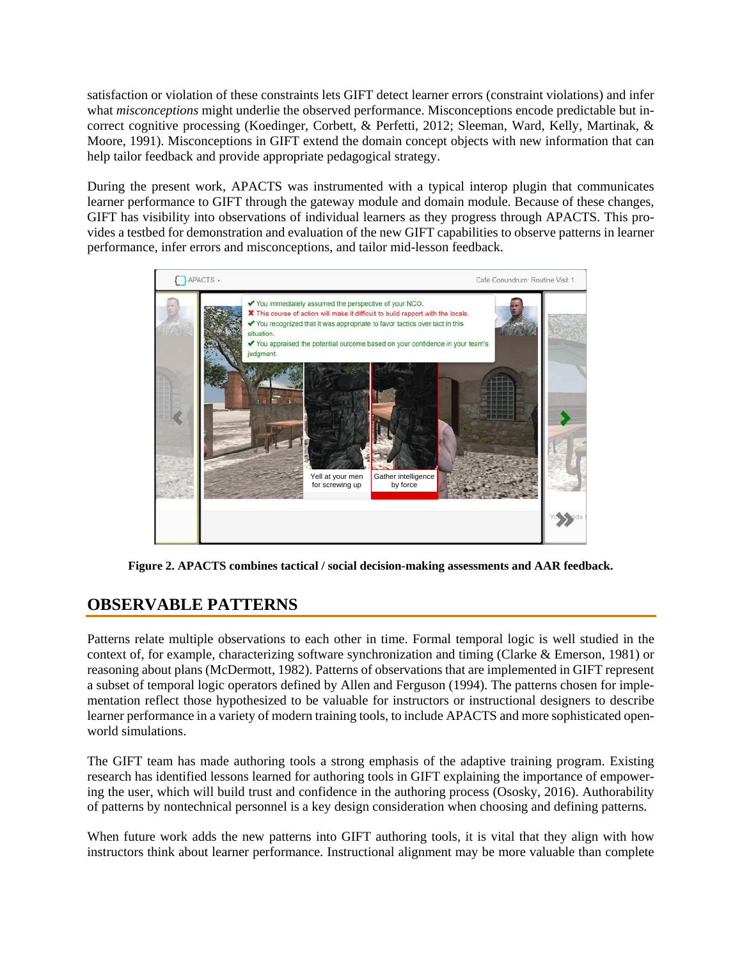satisfaction or violation of these constraints lets GIFT detect learner errors (constraint violations) and infer what *misconceptions* might underlie the observed performance. Misconceptions encode predictable but incorrect cognitive processing [\(Koedinger, Corbett, & Perfetti, 2012;](#page-9-5) [Sleeman, Ward, Kelly, Martinak, &](#page-9-6)  [Moore, 1991\)](#page-9-6). Misconceptions in GIFT extend the domain concept objects with new information that can help tailor feedback and provide appropriate pedagogical strategy.

During the present work, APACTS was instrumented with a typical interop plugin that communicates learner performance to GIFT through the gateway module and domain module. Because of these changes, GIFT has visibility into observations of individual learners as they progress through APACTS. This provides a testbed for demonstration and evaluation of the new GIFT capabilities to observe patterns in learner performance, infer errors and misconceptions, and tailor mid-lesson feedback.



**Figure 2. APACTS combines tactical / social decision-making assessments and AAR feedback.**

# **OBSERVABLE PATTERNS**

Patterns relate multiple observations to each other in time. Formal temporal logic is well studied in the context of, for example, characterizing software synchronization and timing [\(Clarke & Emerson, 1981\)](#page-8-0) or reasoning about plans [\(McDermott, 1982\)](#page-9-7). Patterns of observations that are implemented in GIFT represent a subset of temporal logic operators defined by [Allen and Ferguson \(1994\).](#page-8-1) The patterns chosen for implementation reflect those hypothesized to be valuable for instructors or instructional designers to describe learner performance in a variety of modern training tools, to include APACTS and more sophisticated openworld simulations.

The GIFT team has made authoring tools a strong emphasis of the adaptive training program. Existing research has identified lessons learned for authoring tools in GIFT explaining the importance of empowering the user, which will build trust and confidence in the authoring process [\(Ososky, 2016\)](#page-9-8). Authorability of patterns by nontechnical personnel is a key design consideration when choosing and defining patterns.

When future work adds the new patterns into GIFT authoring tools, it is vital that they align with how instructors think about learner performance. Instructional alignment may be more valuable than complete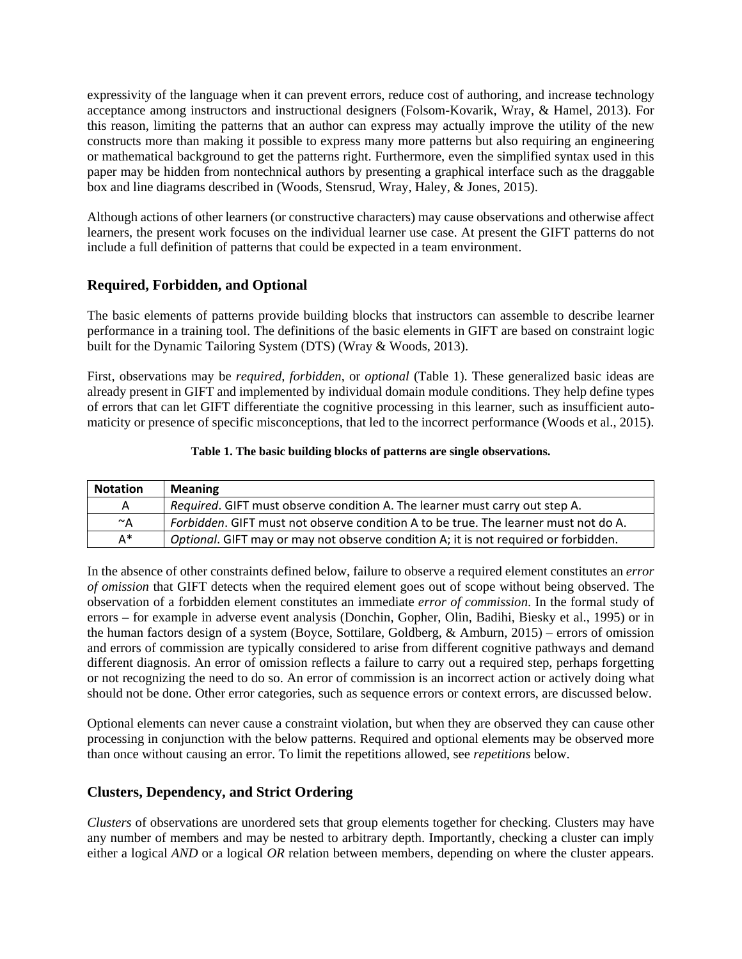expressivity of the language when it can prevent errors, reduce cost of authoring, and increase technology acceptance among instructors and instructional designers [\(Folsom-Kovarik, Wray, & Hamel, 2013\)](#page-8-2). For this reason, limiting the patterns that an author can express may actually improve the utility of the new constructs more than making it possible to express many more patterns but also requiring an engineering or mathematical background to get the patterns right. Furthermore, even the simplified syntax used in this paper may be hidden from nontechnical authors by presenting a graphical interface such as the draggable box and line diagrams described in [\(Woods, Stensrud, Wray, Haley, & Jones, 2015\)](#page-9-9).

Although actions of other learners (or constructive characters) may cause observations and otherwise affect learners, the present work focuses on the individual learner use case. At present the GIFT patterns do not include a full definition of patterns that could be expected in a team environment.

#### **Required, Forbidden, and Optional**

The basic elements of patterns provide building blocks that instructors can assemble to describe learner performance in a training tool. The definitions of the basic elements in GIFT are based on constraint logic built for the Dynamic Tailoring System (DTS) [\(Wray & Woods, 2013\)](#page-9-10).

First, observations may be *required*, *forbidden*, or *optional* (Table 1). These generalized basic ideas are already present in GIFT and implemented by individual domain module conditions. They help define types of errors that can let GIFT differentiate the cognitive processing in this learner, such as insufficient automaticity or presence of specific misconceptions, that led to the incorrect performance [\(Woods et al., 2015\)](#page-9-9).

#### **Table 1. The basic building blocks of patterns are single observations.**

| <b>Notation</b> | <b>Meaning</b>                                                                      |
|-----------------|-------------------------------------------------------------------------------------|
| A               | Required. GIFT must observe condition A. The learner must carry out step A.         |
| $~^\sim$ A      | Forbidden. GIFT must not observe condition A to be true. The learner must not do A. |
| $A^*$           | Optional. GIFT may or may not observe condition A; it is not required or forbidden. |

In the absence of other constraints defined below, failure to observe a required element constitutes an *error of omission* that GIFT detects when the required element goes out of scope without being observed. The observation of a forbidden element constitutes an immediate *error of commission*. In the formal study of errors – for example in adverse event analysis [\(Donchin, Gopher, Olin, Badihi, Biesky et al., 1995\)](#page-8-3) or in the human factors design of a system [\(Boyce, Sottilare, Goldberg, & Amburn, 2015\)](#page-8-4) – errors of omission and errors of commission are typically considered to arise from different cognitive pathways and demand different diagnosis. An error of omission reflects a failure to carry out a required step, perhaps forgetting or not recognizing the need to do so. An error of commission is an incorrect action or actively doing what should not be done. Other error categories, such as sequence errors or context errors, are discussed below.

Optional elements can never cause a constraint violation, but when they are observed they can cause other processing in conjunction with the below patterns. Required and optional elements may be observed more than once without causing an error. To limit the repetitions allowed, see *repetitions* below.

#### **Clusters, Dependency, and Strict Ordering**

*Clusters* of observations are unordered sets that group elements together for checking. Clusters may have any number of members and may be nested to arbitrary depth. Importantly, checking a cluster can imply either a logical *AND* or a logical *OR* relation between members, depending on where the cluster appears.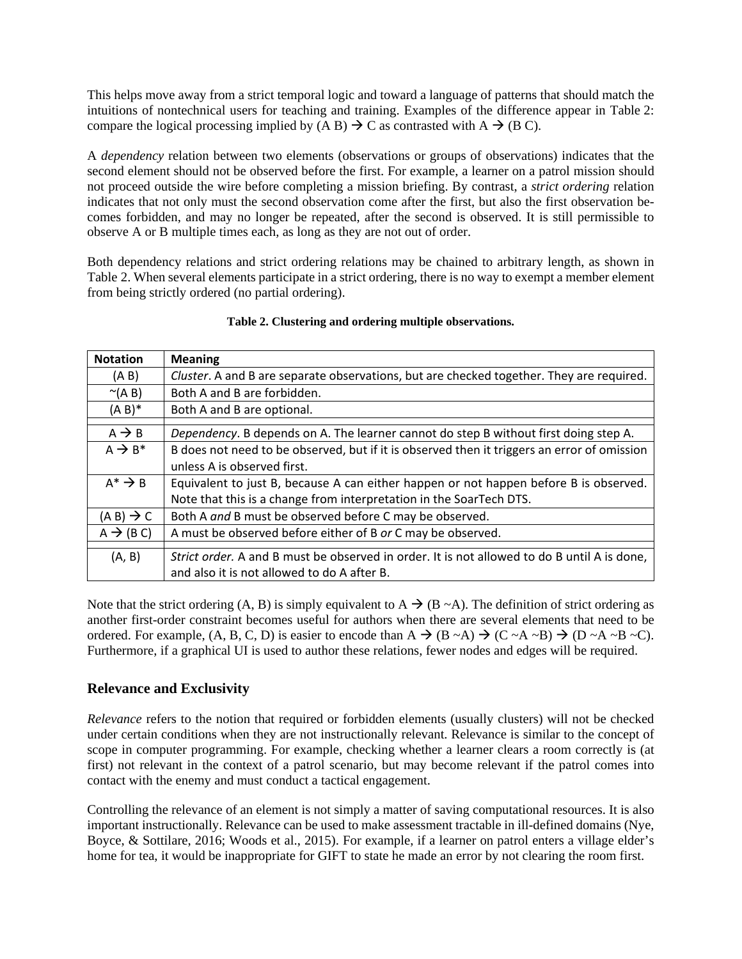This helps move away from a strict temporal logic and toward a language of patterns that should match the intuitions of nontechnical users for teaching and training. Examples of the difference appear in Table 2: compare the logical processing implied by  $(A B) \rightarrow C$  as contrasted with  $A \rightarrow (B C)$ .

A *dependency* relation between two elements (observations or groups of observations) indicates that the second element should not be observed before the first. For example, a learner on a patrol mission should not proceed outside the wire before completing a mission briefing. By contrast, a *strict ordering* relation indicates that not only must the second observation come after the first, but also the first observation becomes forbidden, and may no longer be repeated, after the second is observed. It is still permissible to observe A or B multiple times each, as long as they are not out of order.

Both dependency relations and strict ordering relations may be chained to arbitrary length, as shown in Table 2. When several elements participate in a strict ordering, there is no way to exempt a member element from being strictly ordered (no partial ordering).

| <b>Notation</b>       | <b>Meaning</b>                                                                              |
|-----------------------|---------------------------------------------------------------------------------------------|
| (A B)                 | Cluster. A and B are separate observations, but are checked together. They are required.    |
| $\sim(A B)$           | Both A and B are forbidden.                                                                 |
| $(A B)^*$             | Both A and B are optional.                                                                  |
|                       |                                                                                             |
| $A \rightarrow B$     | Dependency. B depends on A. The learner cannot do step B without first doing step A.        |
| $A \rightarrow B^*$   | B does not need to be observed, but if it is observed then it triggers an error of omission |
|                       | unless A is observed first.                                                                 |
| $A^* \rightarrow B$   | Equivalent to just B, because A can either happen or not happen before B is observed.       |
|                       | Note that this is a change from interpretation in the SoarTech DTS.                         |
| $(A B) \rightarrow C$ | Both A and B must be observed before C may be observed.                                     |
| $A \rightarrow (B C)$ | A must be observed before either of B or C may be observed.                                 |
|                       |                                                                                             |
| (A, B)                | Strict order. A and B must be observed in order. It is not allowed to do B until A is done, |
|                       | and also it is not allowed to do A after B.                                                 |

#### **Table 2. Clustering and ordering multiple observations.**

Note that the strict ordering (A, B) is simply equivalent to A  $\rightarrow$  (B ~A). The definition of strict ordering as another first-order constraint becomes useful for authors when there are several elements that need to be ordered. For example,  $(A, B, C, D)$  is easier to encode than  $A \rightarrow (B \sim A) \rightarrow (C \sim A \sim B) \rightarrow (D \sim A \sim B \sim C)$ . Furthermore, if a graphical UI is used to author these relations, fewer nodes and edges will be required.

#### **Relevance and Exclusivity**

*Relevance* refers to the notion that required or forbidden elements (usually clusters) will not be checked under certain conditions when they are not instructionally relevant. Relevance is similar to the concept of scope in computer programming. For example, checking whether a learner clears a room correctly is (at first) not relevant in the context of a patrol scenario, but may become relevant if the patrol comes into contact with the enemy and must conduct a tactical engagement.

Controlling the relevance of an element is not simply a matter of saving computational resources. It is also important instructionally. Relevance can be used to make assessment tractable in ill-defined domains [\(Nye,](#page-9-11)  [Boyce, & Sottilare, 2016;](#page-9-11) [Woods et al., 2015\)](#page-9-9). For example, if a learner on patrol enters a village elder's home for tea, it would be inappropriate for GIFT to state he made an error by not clearing the room first.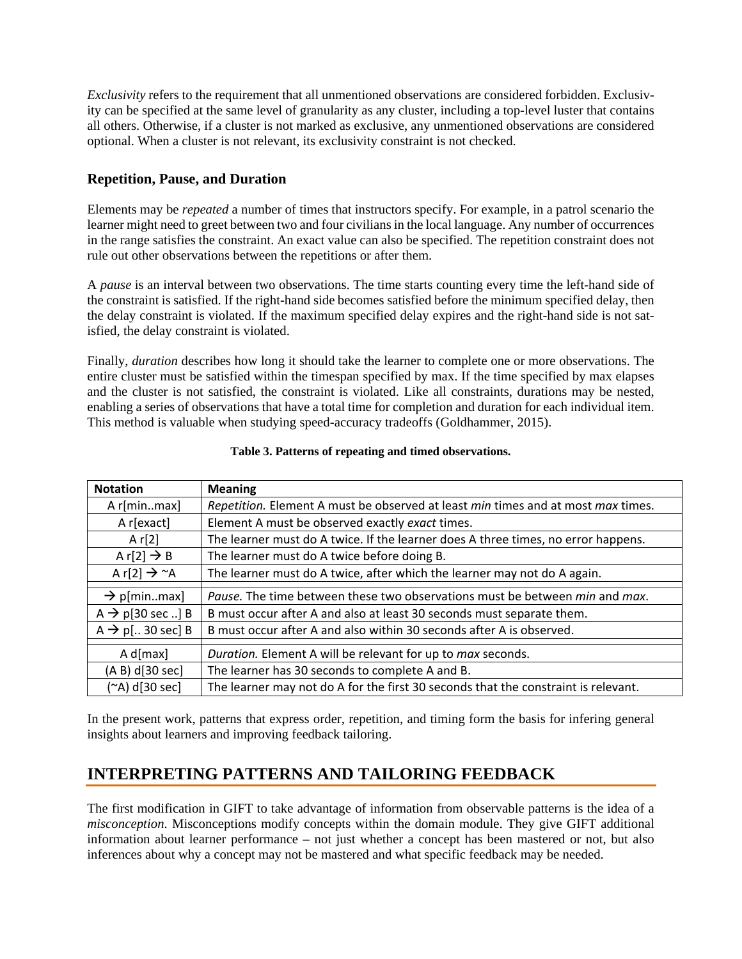*Exclusivity* refers to the requirement that all unmentioned observations are considered forbidden. Exclusivity can be specified at the same level of granularity as any cluster, including a top-level luster that contains all others. Otherwise, if a cluster is not marked as exclusive, any unmentioned observations are considered optional. When a cluster is not relevant, its exclusivity constraint is not checked.

#### **Repetition, Pause, and Duration**

Elements may be *repeated* a number of times that instructors specify. For example, in a patrol scenario the learner might need to greet between two and four civilians in the local language. Any number of occurrences in the range satisfies the constraint. An exact value can also be specified. The repetition constraint does not rule out other observations between the repetitions or after them.

A *pause* is an interval between two observations. The time starts counting every time the left-hand side of the constraint is satisfied. If the right-hand side becomes satisfied before the minimum specified delay, then the delay constraint is violated. If the maximum specified delay expires and the right-hand side is not satisfied, the delay constraint is violated.

Finally, *duration* describes how long it should take the learner to complete one or more observations. The entire cluster must be satisfied within the timespan specified by max. If the time specified by max elapses and the cluster is not satisfied, the constraint is violated. Like all constraints, durations may be nested, enabling a series of observations that have a total time for completion and duration for each individual item. This method is valuable when studying speed-accuracy tradeoffs [\(Goldhammer, 2015\)](#page-9-12).

| <b>Notation</b>                      | <b>Meaning</b>                                                                     |
|--------------------------------------|------------------------------------------------------------------------------------|
| A r[minmax]                          | Repetition. Element A must be observed at least min times and at most max times.   |
| A r[exact]                           | Element A must be observed exactly exact times.                                    |
| A $r[2]$                             | The learner must do A twice. If the learner does A three times, no error happens.  |
| A r[2] $\rightarrow$ B               | The learner must do A twice before doing B.                                        |
| A r[2] $\rightarrow$ ~A              | The learner must do A twice, after which the learner may not do A again.           |
|                                      |                                                                                    |
| $\rightarrow$ p[minmax]              | Pause. The time between these two observations must be between min and max.        |
| $A \rightarrow p[30 \text{ sec}$ ] B | B must occur after A and also at least 30 seconds must separate them.              |
| $A \rightarrow p$ [ 30 sec] B        | B must occur after A and also within 30 seconds after A is observed.               |
|                                      |                                                                                    |
| $A$ d[max]                           | Duration. Element A will be relevant for up to max seconds.                        |
| (A B) d[30 sec]                      | The learner has 30 seconds to complete A and B.                                    |
| (~A) d[30 sec]                       | The learner may not do A for the first 30 seconds that the constraint is relevant. |

#### **Table 3. Patterns of repeating and timed observations.**

In the present work, patterns that express order, repetition, and timing form the basis for infering general insights about learners and improving feedback tailoring.

# **INTERPRETING PATTERNS AND TAILORING FEEDBACK**

The first modification in GIFT to take advantage of information from observable patterns is the idea of a *misconception*. Misconceptions modify concepts within the domain module. They give GIFT additional information about learner performance – not just whether a concept has been mastered or not, but also inferences about why a concept may not be mastered and what specific feedback may be needed.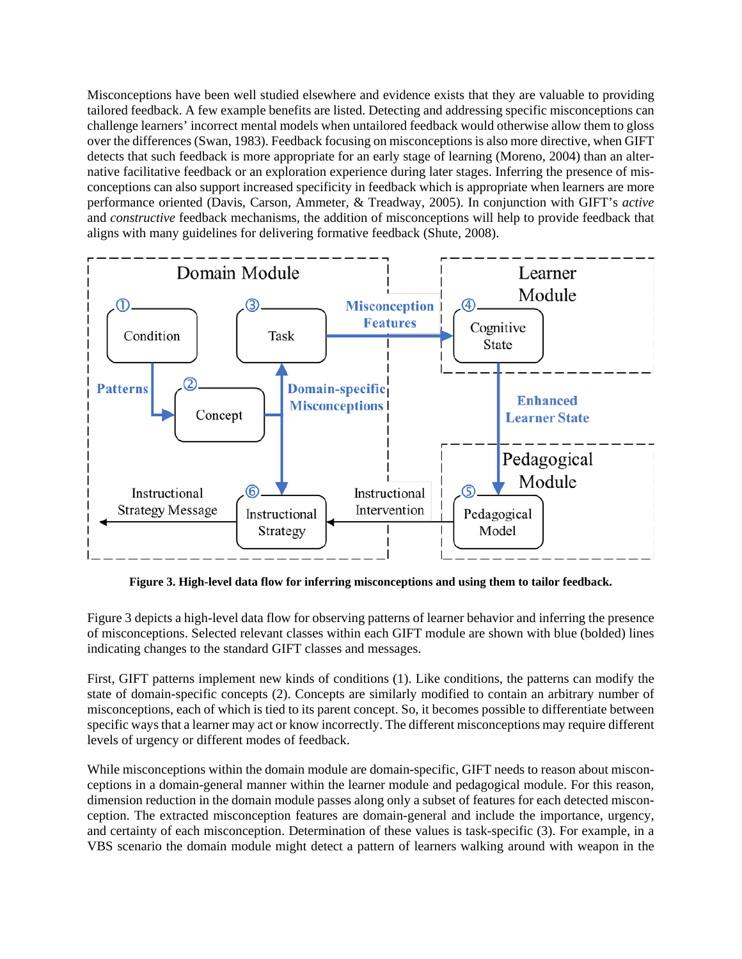Misconceptions have been well studied elsewhere and evidence exists that they are valuable to providing tailored feedback. A few example benefits are listed. Detecting and addressing specific misconceptions can challenge learners' incorrect mental models when untailored feedback would otherwise allow them to gloss over the differences[\(Swan, 1983\)](#page-9-13). Feedback focusing on misconceptions is also more directive, when GIFT detects that such feedback is more appropriate for an early stage of learning [\(Moreno, 2004\)](#page-9-14) than an alternative facilitative feedback or an exploration experience during later stages. Inferring the presence of misconceptions can also support increased specificity in feedback which is appropriate when learners are more performance oriented [\(Davis, Carson, Ammeter, & Treadway, 2005\)](#page-8-5). In conjunction with GIFT's *active* and *constructive* feedback mechanisms, the addition of misconceptions will help to provide feedback that aligns with many guidelines for delivering formative feedback [\(Shute, 2008\)](#page-9-15).



**Figure 3. High-level data flow for inferring misconceptions and using them to tailor feedback.**

Figure 3 depicts a high-level data flow for observing patterns of learner behavior and inferring the presence of misconceptions. Selected relevant classes within each GIFT module are shown with blue (bolded) lines indicating changes to the standard GIFT classes and messages.

First, GIFT patterns implement new kinds of conditions (1). Like conditions, the patterns can modify the state of domain-specific concepts (2). Concepts are similarly modified to contain an arbitrary number of misconceptions, each of which is tied to its parent concept. So, it becomes possible to differentiate between specific ways that a learner may act or know incorrectly. The different misconceptions may require different levels of urgency or different modes of feedback.

While misconceptions within the domain module are domain-specific, GIFT needs to reason about misconceptions in a domain-general manner within the learner module and pedagogical module. For this reason, dimension reduction in the domain module passes along only a subset of features for each detected misconception. The extracted misconception features are domain-general and include the importance, urgency, and certainty of each misconception. Determination of these values is task-specific (3). For example, in a VBS scenario the domain module might detect a pattern of learners walking around with weapon in the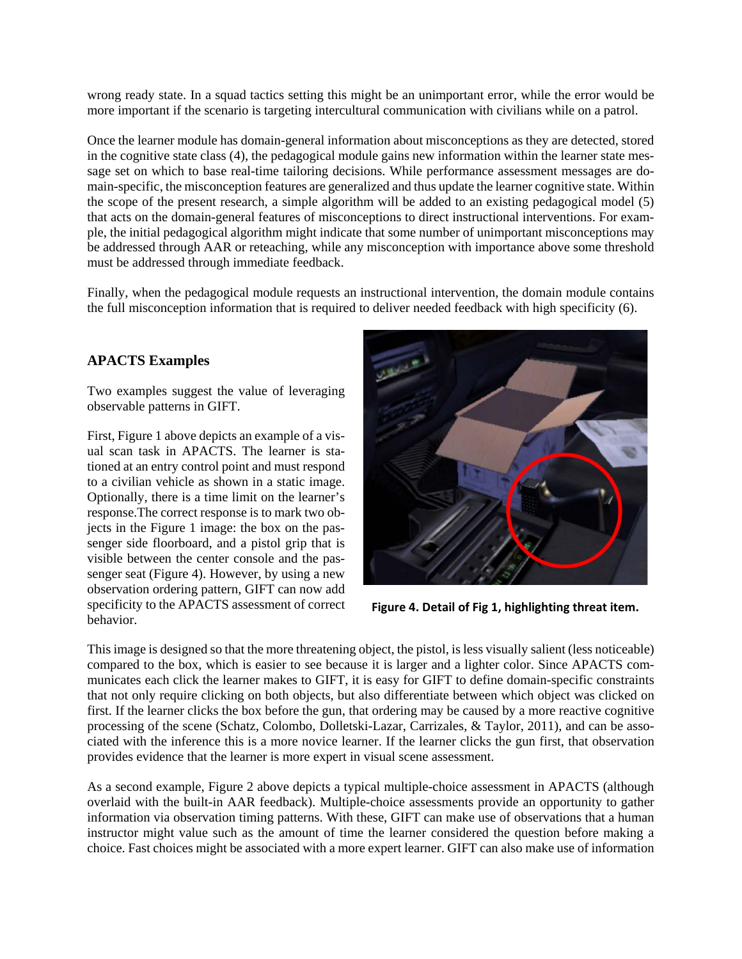wrong ready state. In a squad tactics setting this might be an unimportant error, while the error would be more important if the scenario is targeting intercultural communication with civilians while on a patrol.

Once the learner module has domain-general information about misconceptions as they are detected, stored in the cognitive state class (4), the pedagogical module gains new information within the learner state message set on which to base real-time tailoring decisions. While performance assessment messages are domain-specific, the misconception features are generalized and thus update the learner cognitive state. Within the scope of the present research, a simple algorithm will be added to an existing pedagogical model (5) that acts on the domain-general features of misconceptions to direct instructional interventions. For example, the initial pedagogical algorithm might indicate that some number of unimportant misconceptions may be addressed through AAR or reteaching, while any misconception with importance above some threshold must be addressed through immediate feedback.

Finally, when the pedagogical module requests an instructional intervention, the domain module contains the full misconception information that is required to deliver needed feedback with high specificity (6).

#### **APACTS Examples**

Two examples suggest the value of leveraging observable patterns in GIFT.

First, Figure 1 above depicts an example of a visual scan task in APACTS. The learner is stationed at an entry control point and must respond to a civilian vehicle as shown in a static image. Optionally, there is a time limit on the learner's response.The correct response is to mark two objects in the Figure 1 image: the box on the passenger side floorboard, and a pistol grip that is visible between the center console and the passenger seat (Figure 4). However, by using a new observation ordering pattern, GIFT can now add specificity to the APACTS assessment of correct behavior.



**Figure 4. Detail of Fig 1, highlighting threat item.**

This image is designed so that the more threatening object, the pistol, is less visually salient (less noticeable) compared to the box, which is easier to see because it is larger and a lighter color. Since APACTS communicates each click the learner makes to GIFT, it is easy for GIFT to define domain-specific constraints that not only require clicking on both objects, but also differentiate between which object was clicked on first. If the learner clicks the box before the gun, that ordering may be caused by a more reactive cognitive processing of the scene [\(Schatz, Colombo, Dolletski-Lazar, Carrizales, & Taylor, 2011\)](#page-9-16), and can be associated with the inference this is a more novice learner. If the learner clicks the gun first, that observation provides evidence that the learner is more expert in visual scene assessment.

As a second example, Figure 2 above depicts a typical multiple-choice assessment in APACTS (although overlaid with the built-in AAR feedback). Multiple-choice assessments provide an opportunity to gather information via observation timing patterns. With these, GIFT can make use of observations that a human instructor might value such as the amount of time the learner considered the question before making a choice. Fast choices might be associated with a more expert learner. GIFT can also make use of information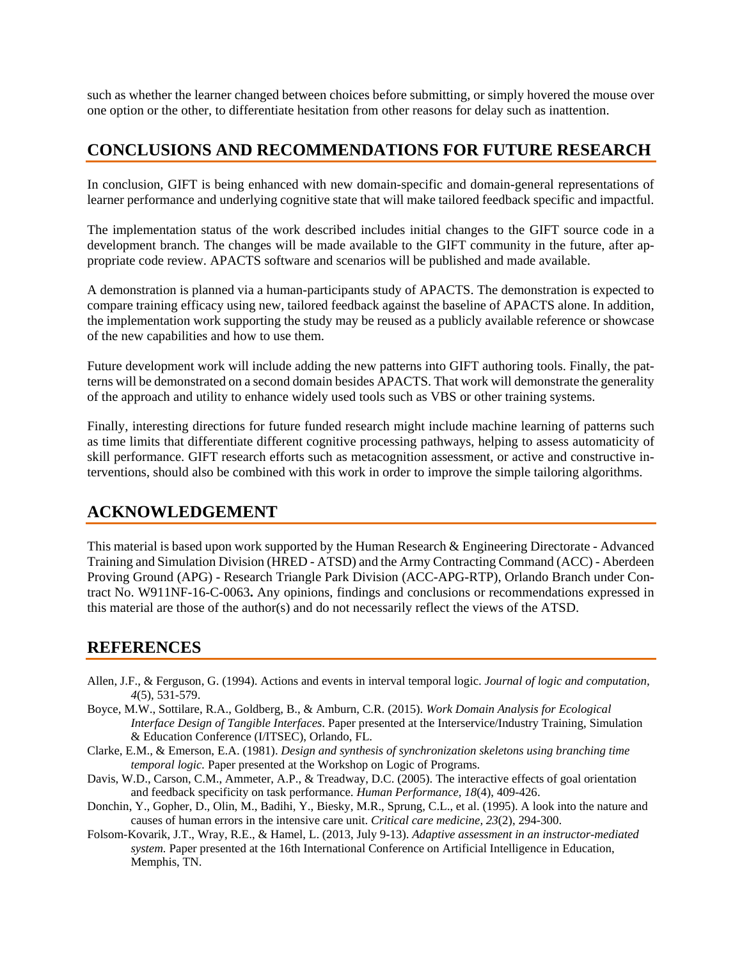such as whether the learner changed between choices before submitting, or simply hovered the mouse over one option or the other, to differentiate hesitation from other reasons for delay such as inattention.

### **CONCLUSIONS AND RECOMMENDATIONS FOR FUTURE RESEARCH**

In conclusion, GIFT is being enhanced with new domain-specific and domain-general representations of learner performance and underlying cognitive state that will make tailored feedback specific and impactful.

The implementation status of the work described includes initial changes to the GIFT source code in a development branch. The changes will be made available to the GIFT community in the future, after appropriate code review. APACTS software and scenarios will be published and made available.

A demonstration is planned via a human-participants study of APACTS. The demonstration is expected to compare training efficacy using new, tailored feedback against the baseline of APACTS alone. In addition, the implementation work supporting the study may be reused as a publicly available reference or showcase of the new capabilities and how to use them.

Future development work will include adding the new patterns into GIFT authoring tools. Finally, the patterns will be demonstrated on a second domain besides APACTS. That work will demonstrate the generality of the approach and utility to enhance widely used tools such as VBS or other training systems.

Finally, interesting directions for future funded research might include machine learning of patterns such as time limits that differentiate different cognitive processing pathways, helping to assess automaticity of skill performance. GIFT research efforts such as metacognition assessment, or active and constructive interventions, should also be combined with this work in order to improve the simple tailoring algorithms.

### **ACKNOWLEDGEMENT**

This material is based upon work supported by the Human Research & Engineering Directorate - Advanced Training and Simulation Division (HRED - ATSD) and the Army Contracting Command (ACC) - Aberdeen Proving Ground (APG) - Research Triangle Park Division (ACC-APG-RTP), Orlando Branch under Contract No. W911NF-16-C-0063**.** Any opinions, findings and conclusions or recommendations expressed in this material are those of the author(s) and do not necessarily reflect the views of the ATSD.

### **REFERENCES**

- <span id="page-8-1"></span>Allen, J.F., & Ferguson, G. (1994). Actions and events in interval temporal logic. *Journal of logic and computation, 4*(5), 531-579.
- <span id="page-8-4"></span>Boyce, M.W., Sottilare, R.A., Goldberg, B., & Amburn, C.R. (2015). *Work Domain Analysis for Ecological Interface Design of Tangible Interfaces*. Paper presented at the Interservice/Industry Training, Simulation & Education Conference (I/ITSEC), Orlando, FL.
- <span id="page-8-0"></span>Clarke, E.M., & Emerson, E.A. (1981). *Design and synthesis of synchronization skeletons using branching time temporal logic.* Paper presented at the Workshop on Logic of Programs.
- <span id="page-8-5"></span>Davis, W.D., Carson, C.M., Ammeter, A.P., & Treadway, D.C. (2005). The interactive effects of goal orientation and feedback specificity on task performance. *Human Performance, 18*(4), 409-426.
- <span id="page-8-3"></span>Donchin, Y., Gopher, D., Olin, M., Badihi, Y., Biesky, M.R., Sprung, C.L., et al. (1995). A look into the nature and causes of human errors in the intensive care unit. *Critical care medicine, 23*(2), 294-300.
- <span id="page-8-2"></span>Folsom-Kovarik, J.T., Wray, R.E., & Hamel, L. (2013, July 9-13). *Adaptive assessment in an instructor-mediated system.* Paper presented at the 16th International Conference on Artificial Intelligence in Education, Memphis, TN.